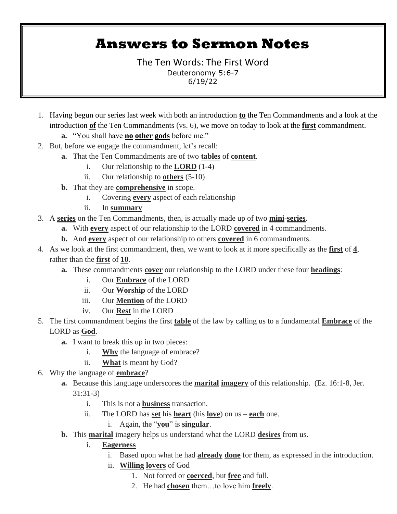# **Answers to Sermon Notes**

The Ten Words: The First Word Deuteronomy 5:6-7 6/19/22

- 1. Having begun our series last week with both an introduction **to** the Ten Commandments and a look at the introduction **of** the Ten Commandments (vs. 6), we move on today to look at the **first** commandment.
	- **a.** "You shall have **no other gods** before me."
- 2. But, before we engage the commandment, let's recall:
	- **a.** That the Ten Commandments are of two **tables** of **content**.
		- i. Our relationship to the **LORD** (1-4)
		- ii. Our relationship to **others** (5-10)
	- **b.** That they are **comprehensive** in scope.
		- i. Covering **every** aspect of each relationship
		- ii. In **summary**
- 3. A **series** on the Ten Commandments, then, is actually made up of two **mini**-**series**.
	- **a.** With **every** aspect of our relationship to the LORD **covered** in 4 commandments.
	- **b.** And **every** aspect of our relationship to others **covered** in 6 commandments.
- 4. As we look at the first commandment, then, we want to look at it more specifically as the **first** of **4**, rather than the **first** of **10**.
	- **a.** These commandments **cover** our relationship to the LORD under these four **headings**:
		- i. Our **Embrace** of the LORD
		- ii. Our **Worship** of the LORD
		- iii. Our **Mention** of the LORD
		- iv. Our **Rest** in the LORD
- 5. The first commandment begins the first **table** of the law by calling us to a fundamental **Embrace** of the LORD as **God**.
	- **a.** I want to break this up in two pieces:
		- i. **Why** the language of embrace?
		- ii. **What** is meant by God?
- 6. Why the language of **embrace**?
	- **a.** Because this language underscores the **marital imagery** of this relationship. (Ez. 16:1-8, Jer. 31:31-3)
		- i. This is not a **business** transaction.
		- ii. The LORD has **set** his **heart** (his **love**) on us **each** one.
			- i. Again, the "**you**" is **singular**.
	- **b.** This **marital** imagery helps us understand what the LORD **desires** from us.
		- i. **Eagerness**
			- i. Based upon what he had **already done** for them, as expressed in the introduction.
			- ii. **Willing lovers** of God
				- 1. Not forced or **coerced**, but **free** and full.
				- 2. He had **chosen** them…to love him **freely**.